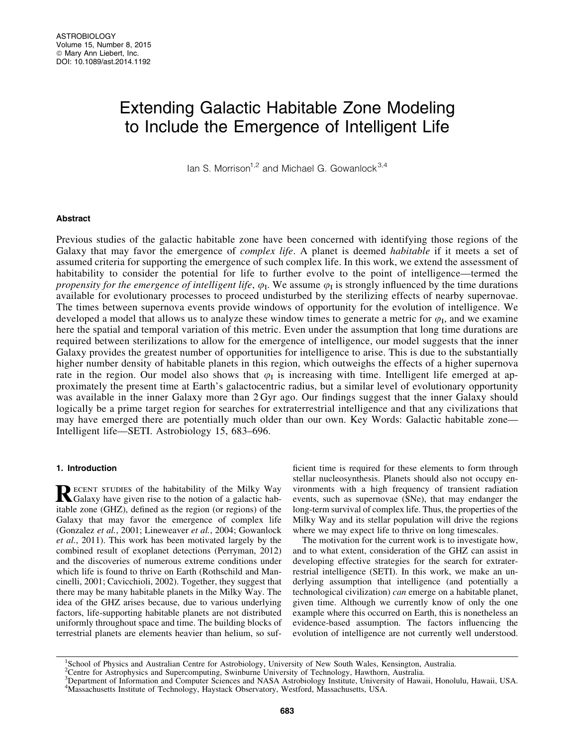# Extending Galactic Habitable Zone Modeling to Include the Emergence of Intelligent Life

Ian S. Morrison<sup>1,2</sup> and Michael G. Gowanlock<sup>3,4</sup>

## Abstract

Previous studies of the galactic habitable zone have been concerned with identifying those regions of the Galaxy that may favor the emergence of *complex life*. A planet is deemed *habitable* if it meets a set of assumed criteria for supporting the emergence of such complex life. In this work, we extend the assessment of habitability to consider the potential for life to further evolve to the point of intelligence—termed the *propensity for the emergence of intelligent life*,  $\varphi_1$ . We assume  $\varphi_1$  is strongly influenced by the time durations available for evolutionary processes to proceed undisturbed by the sterilizing effects of nearby supernovae. The times between supernova events provide windows of opportunity for the evolution of intelligence. We developed a model that allows us to analyze these window times to generate a metric for  $\varphi_1$ , and we examine here the spatial and temporal variation of this metric. Even under the assumption that long time durations are required between sterilizations to allow for the emergence of intelligence, our model suggests that the inner Galaxy provides the greatest number of opportunities for intelligence to arise. This is due to the substantially higher number density of habitable planets in this region, which outweighs the effects of a higher supernova rate in the region. Our model also shows that  $\varphi_I$  is increasing with time. Intelligent life emerged at approximately the present time at Earth's galactocentric radius, but a similar level of evolutionary opportunity was available in the inner Galaxy more than 2 Gyr ago. Our findings suggest that the inner Galaxy should logically be a prime target region for searches for extraterrestrial intelligence and that any civilizations that may have emerged there are potentially much older than our own. Key Words: Galactic habitable zone— Intelligent life—SETI. Astrobiology 15, 683–696.

## 1. Introduction

RECENT STUDIES of the habitability of the Milky Way itable zone (GHZ), defined as the region (or regions) of the Galaxy that may favor the emergence of complex life (Gonzalez *et al.*, 2001; Lineweaver *et al.*, 2004; Gowanlock *et al.*, 2011). This work has been motivated largely by the combined result of exoplanet detections (Perryman, 2012) and the discoveries of numerous extreme conditions under which life is found to thrive on Earth (Rothschild and Mancinelli, 2001; Cavicchioli, 2002). Together, they suggest that there may be many habitable planets in the Milky Way. The idea of the GHZ arises because, due to various underlying factors, life-supporting habitable planets are not distributed uniformly throughout space and time. The building blocks of terrestrial planets are elements heavier than helium, so sufficient time is required for these elements to form through stellar nucleosynthesis. Planets should also not occupy environments with a high frequency of transient radiation events, such as supernovae (SNe), that may endanger the long-term survival of complex life. Thus, the properties of the Milky Way and its stellar population will drive the regions where we may expect life to thrive on long timescales.

The motivation for the current work is to investigate how, and to what extent, consideration of the GHZ can assist in developing effective strategies for the search for extraterrestrial intelligence (SETI). In this work, we make an underlying assumption that intelligence (and potentially a technological civilization) *can* emerge on a habitable planet, given time. Although we currently know of only the one example where this occurred on Earth, this is nonetheless an evidence-based assumption. The factors influencing the evolution of intelligence are not currently well understood.

<sup>&</sup>lt;sup>1</sup>School of Physics and Australian Centre for Astrobiology, University of New South Wales, Kensington, Australia.

<sup>&</sup>lt;sup>2</sup> Centre for Astrophysics and Supercomputing, Swinburne University of Technology, Hawthorn, Australia.<br><sup>3</sup> Department of Information and Computer Sciences and NASA Astrobiology Institute, University of Hawaii, Honolulu, 4 Massachusetts Institute of Technology, Haystack Observatory, Westford, Massachusetts, USA.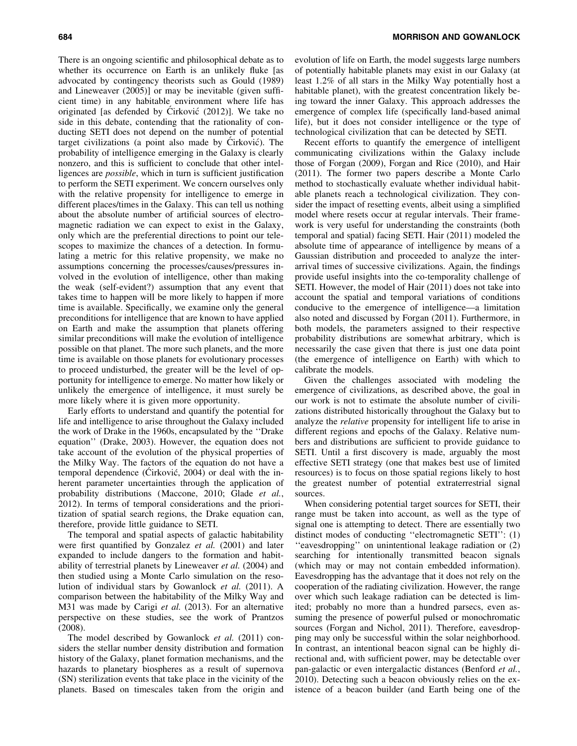There is an ongoing scientific and philosophical debate as to whether its occurrence on Earth is an unlikely fluke [as advocated by contingency theorists such as Gould (1989) and Lineweaver (2005)] or may be inevitable (given sufficient time) in any habitable environment where life has originated [as defended by  $C$ irković  $(2012)$ ]. We take no side in this debate, contending that the rationality of conducting SETI does not depend on the number of potential target civilizations (a point also made by Cirković). The probability of intelligence emerging in the Galaxy is clearly nonzero, and this is sufficient to conclude that other intelligences are *possible*, which in turn is sufficient justification to perform the SETI experiment. We concern ourselves only with the relative propensity for intelligence to emerge in different places/times in the Galaxy. This can tell us nothing about the absolute number of artificial sources of electromagnetic radiation we can expect to exist in the Galaxy, only which are the preferential directions to point our telescopes to maximize the chances of a detection. In formulating a metric for this relative propensity, we make no assumptions concerning the processes/causes/pressures involved in the evolution of intelligence, other than making the weak (self-evident?) assumption that any event that takes time to happen will be more likely to happen if more time is available. Specifically, we examine only the general preconditions for intelligence that are known to have applied on Earth and make the assumption that planets offering similar preconditions will make the evolution of intelligence possible on that planet. The more such planets, and the more time is available on those planets for evolutionary processes to proceed undisturbed, the greater will be the level of opportunity for intelligence to emerge. No matter how likely or unlikely the emergence of intelligence, it must surely be more likely where it is given more opportunity.

Early efforts to understand and quantify the potential for life and intelligence to arise throughout the Galaxy included the work of Drake in the 1960s, encapsulated by the ''Drake equation'' (Drake, 2003). However, the equation does not take account of the evolution of the physical properties of the Milky Way. The factors of the equation do not have a temporal dependence (Cirković, 2004) or deal with the inherent parameter uncertainties through the application of probability distributions (Maccone, 2010; Glade *et al.*, 2012). In terms of temporal considerations and the prioritization of spatial search regions, the Drake equation can, therefore, provide little guidance to SETI.

The temporal and spatial aspects of galactic habitability were first quantified by Gonzalez *et al.* (2001) and later expanded to include dangers to the formation and habitability of terrestrial planets by Lineweaver *et al.* (2004) and then studied using a Monte Carlo simulation on the resolution of individual stars by Gowanlock *et al.* (2011). A comparison between the habitability of the Milky Way and M31 was made by Carigi *et al.* (2013). For an alternative perspective on these studies, see the work of Prantzos (2008).

The model described by Gowanlock *et al.* (2011) considers the stellar number density distribution and formation history of the Galaxy, planet formation mechanisms, and the hazards to planetary biospheres as a result of supernova (SN) sterilization events that take place in the vicinity of the planets. Based on timescales taken from the origin and evolution of life on Earth, the model suggests large numbers of potentially habitable planets may exist in our Galaxy (at least 1.2% of all stars in the Milky Way potentially host a habitable planet), with the greatest concentration likely being toward the inner Galaxy. This approach addresses the emergence of complex life (specifically land-based animal life), but it does not consider intelligence or the type of technological civilization that can be detected by SETI.

Recent efforts to quantify the emergence of intelligent communicating civilizations within the Galaxy include those of Forgan (2009), Forgan and Rice (2010), and Hair (2011). The former two papers describe a Monte Carlo method to stochastically evaluate whether individual habitable planets reach a technological civilization. They consider the impact of resetting events, albeit using a simplified model where resets occur at regular intervals. Their framework is very useful for understanding the constraints (both temporal and spatial) facing SETI. Hair (2011) modeled the absolute time of appearance of intelligence by means of a Gaussian distribution and proceeded to analyze the interarrival times of successive civilizations. Again, the findings provide useful insights into the co-temporality challenge of SETI. However, the model of Hair (2011) does not take into account the spatial and temporal variations of conditions conducive to the emergence of intelligence—a limitation also noted and discussed by Forgan (2011). Furthermore, in both models, the parameters assigned to their respective probability distributions are somewhat arbitrary, which is necessarily the case given that there is just one data point (the emergence of intelligence on Earth) with which to calibrate the models.

Given the challenges associated with modeling the emergence of civilizations, as described above, the goal in our work is not to estimate the absolute number of civilizations distributed historically throughout the Galaxy but to analyze the *relative* propensity for intelligent life to arise in different regions and epochs of the Galaxy. Relative numbers and distributions are sufficient to provide guidance to SETI. Until a first discovery is made, arguably the most effective SETI strategy (one that makes best use of limited resources) is to focus on those spatial regions likely to host the greatest number of potential extraterrestrial signal sources.

When considering potential target sources for SETI, their range must be taken into account, as well as the type of signal one is attempting to detect. There are essentially two distinct modes of conducting ''electromagnetic SETI'': (1) "eavesdropping" on unintentional leakage radiation or  $(2)$ searching for intentionally transmitted beacon signals (which may or may not contain embedded information). Eavesdropping has the advantage that it does not rely on the cooperation of the radiating civilization. However, the range over which such leakage radiation can be detected is limited; probably no more than a hundred parsecs, even assuming the presence of powerful pulsed or monochromatic sources (Forgan and Nichol, 2011). Therefore, eavesdropping may only be successful within the solar neighborhood. In contrast, an intentional beacon signal can be highly directional and, with sufficient power, may be detectable over pan-galactic or even intergalactic distances (Benford *et al.*, 2010). Detecting such a beacon obviously relies on the existence of a beacon builder (and Earth being one of the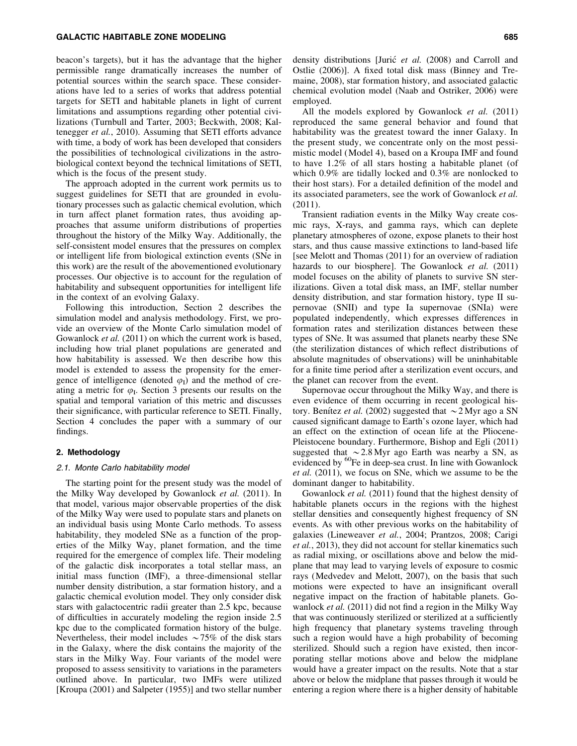## GALACTIC HABITABLE ZONE MODELING 685

beacon's targets), but it has the advantage that the higher permissible range dramatically increases the number of potential sources within the search space. These considerations have led to a series of works that address potential targets for SETI and habitable planets in light of current limitations and assumptions regarding other potential civilizations (Turnbull and Tarter, 2003; Beckwith, 2008; Kaltenegger *et al.*, 2010). Assuming that SETI efforts advance with time, a body of work has been developed that considers the possibilities of technological civilizations in the astrobiological context beyond the technical limitations of SETI, which is the focus of the present study.

The approach adopted in the current work permits us to suggest guidelines for SETI that are grounded in evolutionary processes such as galactic chemical evolution, which in turn affect planet formation rates, thus avoiding approaches that assume uniform distributions of properties throughout the history of the Milky Way. Additionally, the self-consistent model ensures that the pressures on complex or intelligent life from biological extinction events (SNe in this work) are the result of the abovementioned evolutionary processes. Our objective is to account for the regulation of habitability and subsequent opportunities for intelligent life in the context of an evolving Galaxy.

Following this introduction, Section 2 describes the simulation model and analysis methodology. First, we provide an overview of the Monte Carlo simulation model of Gowanlock *et al.* (2011) on which the current work is based, including how trial planet populations are generated and how habitability is assessed. We then describe how this model is extended to assess the propensity for the emergence of intelligence (denoted  $\varphi_{I}$ ) and the method of creating a metric for  $\varphi$ <sub>I</sub>. Section 3 presents our results on the spatial and temporal variation of this metric and discusses their significance, with particular reference to SETI. Finally, Section 4 concludes the paper with a summary of our findings.

## 2. Methodology

## 2.1. Monte Carlo habitability model

The starting point for the present study was the model of the Milky Way developed by Gowanlock *et al.* (2011). In that model, various major observable properties of the disk of the Milky Way were used to populate stars and planets on an individual basis using Monte Carlo methods. To assess habitability, they modeled SNe as a function of the properties of the Milky Way, planet formation, and the time required for the emergence of complex life. Their modeling of the galactic disk incorporates a total stellar mass, an initial mass function (IMF), a three-dimensional stellar number density distribution, a star formation history, and a galactic chemical evolution model. They only consider disk stars with galactocentric radii greater than 2.5 kpc, because of difficulties in accurately modeling the region inside 2.5 kpc due to the complicated formation history of the bulge. Nevertheless, their model includes  $\sim$  75% of the disk stars in the Galaxy, where the disk contains the majority of the stars in the Milky Way. Four variants of the model were proposed to assess sensitivity to variations in the parameters outlined above. In particular, two IMFs were utilized [Kroupa (2001) and Salpeter (1955)] and two stellar number density distributions [Juric´ *et al.* (2008) and Carroll and Ostlie (2006)]. A fixed total disk mass (Binney and Tremaine, 2008), star formation history, and associated galactic chemical evolution model (Naab and Ostriker, 2006) were employed.

All the models explored by Gowanlock *et al.* (2011) reproduced the same general behavior and found that habitability was the greatest toward the inner Galaxy. In the present study, we concentrate only on the most pessimistic model (Model 4), based on a Kroupa IMF and found to have 1.2% of all stars hosting a habitable planet (of which 0.9% are tidally locked and 0.3% are nonlocked to their host stars). For a detailed definition of the model and its associated parameters, see the work of Gowanlock *et al.* (2011).

Transient radiation events in the Milky Way create cosmic rays, X-rays, and gamma rays, which can deplete planetary atmospheres of ozone, expose planets to their host stars, and thus cause massive extinctions to land-based life [see Melott and Thomas (2011) for an overview of radiation hazards to our biosphere]. The Gowanlock *et al.* (2011) model focuses on the ability of planets to survive SN sterilizations. Given a total disk mass, an IMF, stellar number density distribution, and star formation history, type II supernovae (SNII) and type Ia supernovae (SNIa) were populated independently, which expresses differences in formation rates and sterilization distances between these types of SNe. It was assumed that planets nearby these SNe (the sterilization distances of which reflect distributions of absolute magnitudes of observations) will be uninhabitable for a finite time period after a sterilization event occurs, and the planet can recover from the event.

Supernovae occur throughout the Milky Way, and there is even evidence of them occurring in recent geological history. Benítez *et al.* (2002) suggested that  $\sim$  2 Myr ago a SN caused significant damage to Earth's ozone layer, which had an effect on the extinction of ocean life at the Pliocene-Pleistocene boundary. Furthermore, Bishop and Egli (2011) suggested that  $\sim$  2.8 Myr ago Earth was nearby a SN, as evidenced by <sup>60</sup>Fe in deep-sea crust. In line with Gowanlock *et al.* (2011), we focus on SNe, which we assume to be the dominant danger to habitability.

Gowanlock *et al.* (2011) found that the highest density of habitable planets occurs in the regions with the highest stellar densities and consequently highest frequency of SN events. As with other previous works on the habitability of galaxies (Lineweaver *et al.*, 2004; Prantzos, 2008; Carigi *et al.*, 2013), they did not account for stellar kinematics such as radial mixing, or oscillations above and below the midplane that may lead to varying levels of exposure to cosmic rays (Medvedev and Melott, 2007), on the basis that such motions were expected to have an insignificant overall negative impact on the fraction of habitable planets. Gowanlock *et al.* (2011) did not find a region in the Milky Way that was continuously sterilized or sterilized at a sufficiently high frequency that planetary systems traveling through such a region would have a high probability of becoming sterilized. Should such a region have existed, then incorporating stellar motions above and below the midplane would have a greater impact on the results. Note that a star above or below the midplane that passes through it would be entering a region where there is a higher density of habitable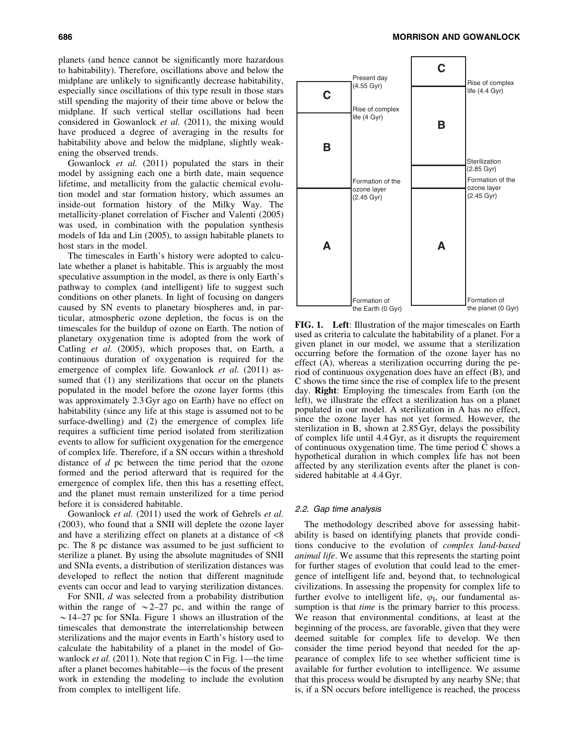planets (and hence cannot be significantly more hazardous to habitability). Therefore, oscillations above and below the midplane are unlikely to significantly decrease habitability, especially since oscillations of this type result in those stars still spending the majority of their time above or below the midplane. If such vertical stellar oscillations had been considered in Gowanlock *et al.* (2011), the mixing would have produced a degree of averaging in the results for habitability above and below the midplane, slightly weakening the observed trends.

Gowanlock *et al.* (2011) populated the stars in their model by assigning each one a birth date, main sequence lifetime, and metallicity from the galactic chemical evolution model and star formation history, which assumes an inside-out formation history of the Milky Way. The metallicity-planet correlation of Fischer and Valenti (2005) was used, in combination with the population synthesis models of Ida and Lin (2005), to assign habitable planets to host stars in the model.

The timescales in Earth's history were adopted to calculate whether a planet is habitable. This is arguably the most speculative assumption in the model, as there is only Earth's pathway to complex (and intelligent) life to suggest such conditions on other planets. In light of focusing on dangers caused by SN events to planetary biospheres and, in particular, atmospheric ozone depletion, the focus is on the timescales for the buildup of ozone on Earth. The notion of planetary oxygenation time is adopted from the work of Catling *et al.* (2005), which proposes that, on Earth, a continuous duration of oxygenation is required for the emergence of complex life. Gowanlock *et al.* (2011) assumed that (1) any sterilizations that occur on the planets populated in the model before the ozone layer forms (this was approximately 2.3 Gyr ago on Earth) have no effect on habitability (since any life at this stage is assumed not to be surface-dwelling) and (2) the emergence of complex life requires a sufficient time period isolated from sterilization events to allow for sufficient oxygenation for the emergence of complex life. Therefore, if a SN occurs within a threshold distance of *d* pc between the time period that the ozone formed and the period afterward that is required for the emergence of complex life, then this has a resetting effect, and the planet must remain unsterilized for a time period before it is considered habitable.

Gowanlock *et al.* (2011) used the work of Gehrels *et al.* (2003), who found that a SNII will deplete the ozone layer and have a sterilizing effect on planets at a distance of <8 pc. The 8 pc distance was assumed to be just sufficient to sterilize a planet. By using the absolute magnitudes of SNII and SNIa events, a distribution of sterilization distances was developed to reflect the notion that different magnitude events can occur and lead to varying sterilization distances.

For SNII, *d* was selected from a probability distribution within the range of  $\sim$  2–27 pc, and within the range of  $\sim$  14–27 pc for SNIa. Figure 1 shows an illustration of the timescales that demonstrate the interrelationship between sterilizations and the major events in Earth's history used to calculate the habitability of a planet in the model of Gowanlock *et al.* (2011). Note that region C in Fig. 1—the time after a planet becomes habitable—is the focus of the present work in extending the modeling to include the evolution from complex to intelligent life.



FIG. 1. Left: Illustration of the major timescales on Earth used as criteria to calculate the habitability of a planet. For a given planet in our model, we assume that a sterilization occurring before the formation of the ozone layer has no effect  $(A)$ , whereas a sterilization occurring during the period of continuous oxygenation does have an effect (B), and C shows the time since the rise of complex life to the present day. Right: Employing the timescales from Earth (on the left), we illustrate the effect a sterilization has on a planet populated in our model. A sterilization in A has no effect, since the ozone layer has not yet formed. However, the sterilization in B, shown at 2.85 Gyr, delays the possibility of complex life until 4.4 Gyr, as it disrupts the requirement of continuous oxygenation time. The time period C shows a hypothetical duration in which complex life has not been affected by any sterilization events after the planet is considered habitable at 4.4 Gyr.

#### 2.2. Gap time analysis

The methodology described above for assessing habitability is based on identifying planets that provide conditions conducive to the evolution of *complex land-based animal life*. We assume that this represents the starting point for further stages of evolution that could lead to the emergence of intelligent life and, beyond that, to technological civilizations. In assessing the propensity for complex life to further evolve to intelligent life,  $\varphi$ <sub>I</sub>, our fundamental assumption is that *time* is the primary barrier to this process. We reason that environmental conditions, at least at the beginning of the process, are favorable, given that they were deemed suitable for complex life to develop. We then consider the time period beyond that needed for the appearance of complex life to see whether sufficient time is available for further evolution to intelligence. We assume that this process would be disrupted by any nearby SNe; that is, if a SN occurs before intelligence is reached, the process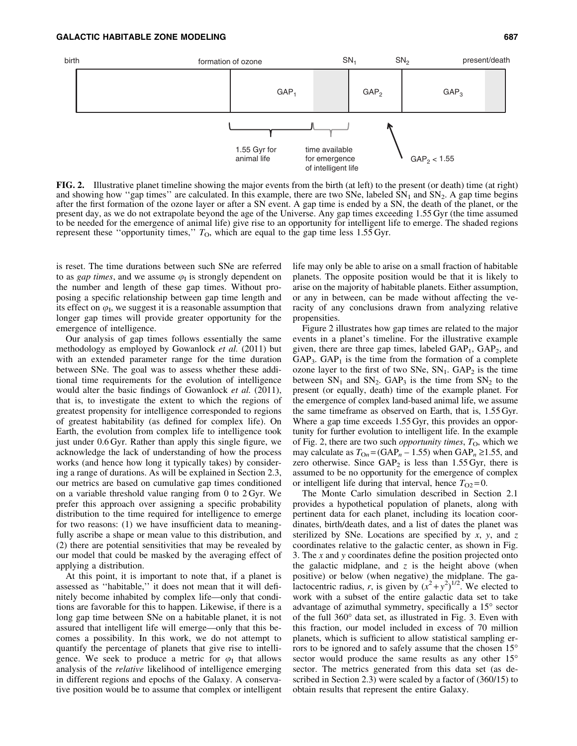

FIG. 2. Illustrative planet timeline showing the major events from the birth (at left) to the present (or death) time (at right) and showing how "gap times" are calculated. In this example, there are two SNe, labeled  $SN<sub>1</sub>$  and  $SN<sub>2</sub>$ . A gap time begins after the first formation of the ozone layer or after a SN event. A gap time is ended by a SN, the death of the planet, or the present day, as we do not extrapolate beyond the age of the Universe. Any gap times exceeding 1.55 Gyr (the time assumed to be needed for the emergence of animal life) give rise to an opportunity for intelligent life to emerge. The shaded regions represent these "opportunity times,"  $T<sub>O</sub>$ , which are equal to the gap time less 1.55 Gyr.

is reset. The time durations between such SNe are referred to as *gap times*, and we assume  $\varphi$ <sup>I</sup> is strongly dependent on the number and length of these gap times. Without proposing a specific relationship between gap time length and its effect on  $\varphi_I$ , we suggest it is a reasonable assumption that longer gap times will provide greater opportunity for the emergence of intelligence.

Our analysis of gap times follows essentially the same methodology as employed by Gowanlock *et al.* (2011) but with an extended parameter range for the time duration between SNe. The goal was to assess whether these additional time requirements for the evolution of intelligence would alter the basic findings of Gowanlock *et al.* (2011), that is, to investigate the extent to which the regions of greatest propensity for intelligence corresponded to regions of greatest habitability (as defined for complex life). On Earth, the evolution from complex life to intelligence took just under 0.6 Gyr. Rather than apply this single figure, we acknowledge the lack of understanding of how the process works (and hence how long it typically takes) by considering a range of durations. As will be explained in Section 2.3, our metrics are based on cumulative gap times conditioned on a variable threshold value ranging from 0 to 2 Gyr. We prefer this approach over assigning a specific probability distribution to the time required for intelligence to emerge for two reasons: (1) we have insufficient data to meaningfully ascribe a shape or mean value to this distribution, and (2) there are potential sensitivities that may be revealed by our model that could be masked by the averaging effect of applying a distribution.

At this point, it is important to note that, if a planet is assessed as ''habitable,'' it does not mean that it will definitely become inhabited by complex life—only that conditions are favorable for this to happen. Likewise, if there is a long gap time between SNe on a habitable planet, it is not assured that intelligent life will emerge—only that this becomes a possibility. In this work, we do not attempt to quantify the percentage of planets that give rise to intelligence. We seek to produce a metric for  $\varphi_I$  that allows analysis of the *relative* likelihood of intelligence emerging in different regions and epochs of the Galaxy. A conservative position would be to assume that complex or intelligent life may only be able to arise on a small fraction of habitable planets. The opposite position would be that it is likely to arise on the majority of habitable planets. Either assumption, or any in between, can be made without affecting the veracity of any conclusions drawn from analyzing relative propensities.

Figure 2 illustrates how gap times are related to the major events in a planet's timeline. For the illustrative example given, there are three gap times, labeled  $GAP_1$ ,  $GAP_2$ , and  $GAP_3$ .  $GAP_1$  is the time from the formation of a complete ozone layer to the first of two SNe,  $SN<sub>1</sub>$ .  $GAP<sub>2</sub>$  is the time between  $SN_1$  and  $SN_2$ .  $GAP_3$  is the time from  $SN_2$  to the present (or equally, death) time of the example planet. For the emergence of complex land-based animal life, we assume the same timeframe as observed on Earth, that is, 1.55 Gyr. Where a gap time exceeds 1.55 Gyr, this provides an opportunity for further evolution to intelligent life. In the example of Fig. 2, there are two such *opportunity times*,  $T<sub>O</sub>$ , which we may calculate as  $T_{\text{O}n}$  = (GAP<sub>n</sub> – 1.55) when GAP<sub>n</sub> ≥1.55, and zero otherwise. Since  $GAP_2$  is less than 1.55 Gyr, there is assumed to be no opportunity for the emergence of complex or intelligent life during that interval, hence  $T_{O2} = 0$ .

The Monte Carlo simulation described in Section 2.1 provides a hypothetical population of planets, along with pertinent data for each planet, including its location coordinates, birth/death dates, and a list of dates the planet was sterilized by SNe. Locations are specified by *x*, *y*, and *z* coordinates relative to the galactic center, as shown in Fig. 3. The *x* and *y* coordinates define the position projected onto the galactic midplane, and *z* is the height above (when positive) or below (when negative) the midplane. The galactocentric radius, *r*, is given by  $(x^2 + y^2)^{1/2}$ . We elected to work with a subset of the entire galactic data set to take advantage of azimuthal symmetry, specifically a 15° sector of the full 360° data set, as illustrated in Fig. 3. Even with this fraction, our model included in excess of 70 million planets, which is sufficient to allow statistical sampling errors to be ignored and to safely assume that the chosen 15° sector would produce the same results as any other  $15^{\circ}$ sector. The metrics generated from this data set (as described in Section 2.3) were scaled by a factor of (360/15) to obtain results that represent the entire Galaxy.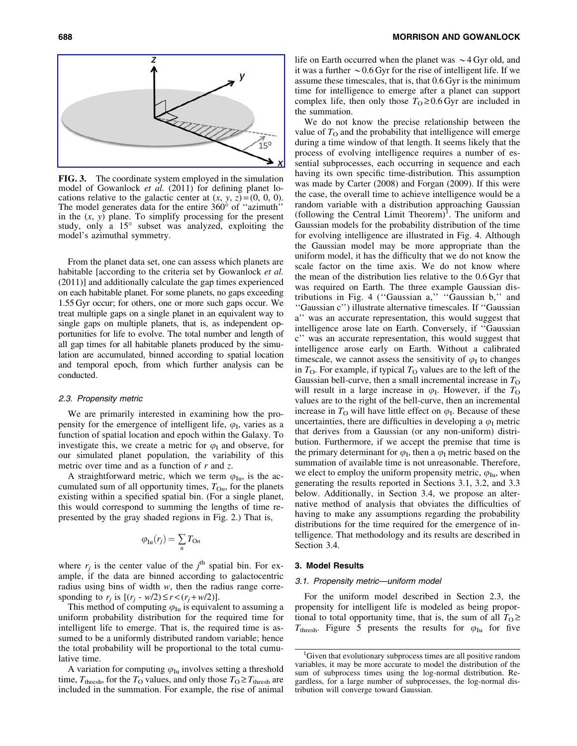

FIG. 3. The coordinate system employed in the simulation model of Gowanlock *et al.* (2011) for defining planet locations relative to the galactic center at  $(x, y, z) = (0, 0, 0)$ . The model generates data for the entire  $360^{\circ}$  of "azimuth" in the  $(x, y)$  plane. To simplify processing for the present study, only a  $15^{\circ}$  subset was analyzed, exploiting the model's azimuthal symmetry.

From the planet data set, one can assess which planets are habitable [according to the criteria set by Gowanlock *et al.* (2011)] and additionally calculate the gap times experienced on each habitable planet. For some planets, no gaps exceeding 1.55 Gyr occur; for others, one or more such gaps occur. We treat multiple gaps on a single planet in an equivalent way to single gaps on multiple planets, that is, as independent opportunities for life to evolve. The total number and length of all gap times for all habitable planets produced by the simulation are accumulated, binned according to spatial location and temporal epoch, from which further analysis can be conducted.

#### 2.3. Propensity metric

We are primarily interested in examining how the propensity for the emergence of intelligent life,  $\varphi$ <sub>I</sub>, varies as a function of spatial location and epoch within the Galaxy. To investigate this, we create a metric for  $\varphi_I$  and observe, for our simulated planet population, the variability of this metric over time and as a function of *r* and *z*.

A straightforward metric, which we term  $\varphi_{\text{Iu}}$ , is the accumulated sum of all opportunity times,  $T_{On}$ , for the planets existing within a specified spatial bin. (For a single planet, this would correspond to summing the lengths of time represented by the gray shaded regions in Fig. 2.) That is,

$$
\varphi_{\text{Iu}}(r_j) = \sum_n T_{\text{On}}
$$

where  $r_j$  is the center value of the  $j^{\text{th}}$  spatial bin. For example, if the data are binned according to galactocentric radius using bins of width *w*, then the radius range corresponding to  $r_j$  is  $[(r_j - w/2) \le r < (r_j + w/2)].$ 

This method of computing  $\varphi_{Iu}$  is equivalent to assuming a uniform probability distribution for the required time for intelligent life to emerge. That is, the required time is assumed to be a uniformly distributed random variable; hence the total probability will be proportional to the total cumulative time.

A variation for computing  $\varphi_{Iu}$  involves setting a threshold time,  $T_{\text{thresh}}$ , for the  $T_{\text{O}}$  values, and only those  $T_{\text{O}} \geq T_{\text{thresh}}$  are included in the summation. For example, the rise of animal life on Earth occurred when the planet was  $\sim$  4 Gyr old, and it was a further  $\sim 0.6$  Gyr for the rise of intelligent life. If we assume these timescales, that is, that 0.6 Gyr is the minimum time for intelligence to emerge after a planet can support complex life, then only those  $T<sub>O</sub> \ge 0.6$  Gyr are included in the summation.

We do not know the precise relationship between the value of  $T<sub>O</sub>$  and the probability that intelligence will emerge during a time window of that length. It seems likely that the process of evolving intelligence requires a number of essential subprocesses, each occurring in sequence and each having its own specific time-distribution. This assumption was made by Carter (2008) and Forgan (2009). If this were the case, the overall time to achieve intelligence would be a random variable with a distribution approaching Gaussian (following the Central Limit Theorem)<sup>1</sup>. The uniform and Gaussian models for the probability distribution of the time for evolving intelligence are illustrated in Fig. 4. Although the Gaussian model may be more appropriate than the uniform model, it has the difficulty that we do not know the scale factor on the time axis. We do not know where the mean of the distribution lies relative to the 0.6 Gyr that was required on Earth. The three example Gaussian distributions in Fig. 4 (''Gaussian a,'' ''Gaussian b,'' and ''Gaussian c'') illustrate alternative timescales. If ''Gaussian a'' was an accurate representation, this would suggest that intelligence arose late on Earth. Conversely, if ''Gaussian c'' was an accurate representation, this would suggest that intelligence arose early on Earth. Without a calibrated timescale, we cannot assess the sensitivity of  $\varphi_I$  to changes in  $T<sub>O</sub>$ . For example, if typical  $T<sub>O</sub>$  values are to the left of the Gaussian bell-curve, then a small incremental increase in  $T<sub>O</sub>$ will result in a large increase in  $\varphi$ <sub>I</sub>. However, if the  $T_{\rm O}$ values are to the right of the bell-curve, then an incremental increase in  $T<sub>O</sub>$  will have little effect on  $\varphi_I$ . Because of these uncertainties, there are difficulties in developing a  $\varphi_I$  metric that derives from a Gaussian (or any non-uniform) distribution. Furthermore, if we accept the premise that time is the primary determinant for  $\varphi_I$ , then a  $\varphi_I$  metric based on the summation of available time is not unreasonable. Therefore, we elect to employ the uniform propensity metric,  $\varphi_{\text{Iu}}$ , when generating the results reported in Sections 3.1, 3.2, and 3.3 below. Additionally, in Section 3.4, we propose an alternative method of analysis that obviates the difficulties of having to make any assumptions regarding the probability distributions for the time required for the emergence of intelligence. That methodology and its results are described in Section 3.4.

#### 3. Model Results

#### 3.1. Propensity metric—uniform model

For the uniform model described in Section 2.3, the propensity for intelligent life is modeled as being proportional to total opportunity time, that is, the sum of all  $T_{\text{O}} \ge$  $T_{\text{thresh}}$ . Figure 5 presents the results for  $\varphi_{\text{Iu}}$  for five

<sup>&</sup>lt;sup>1</sup>Given that evolutionary subprocess times are all positive random variables, it may be more accurate to model the distribution of the sum of subprocess times using the log-normal distribution. Regardless, for a large number of subprocesses, the log-normal distribution will converge toward Gaussian.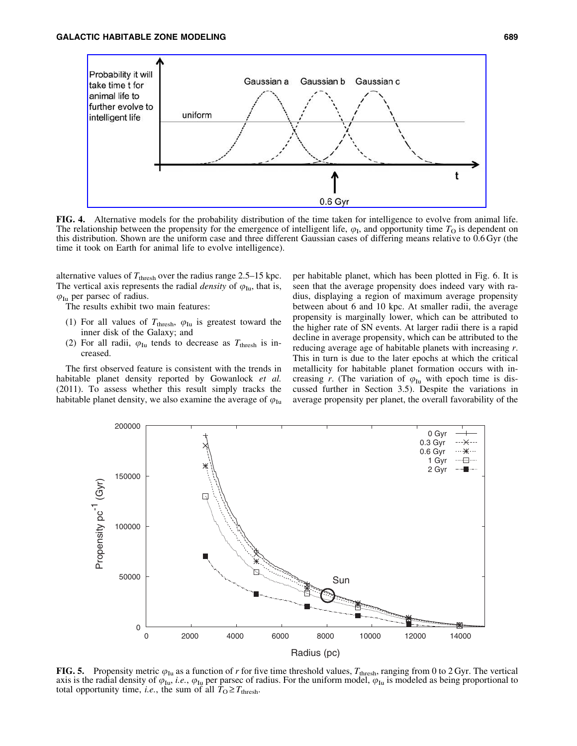

FIG. 4. Alternative models for the probability distribution of the time taken for intelligence to evolve from animal life. The relationship between the propensity for the emergence of intelligent life,  $\varphi_1$ , and opportunity time  $T_{\Omega}$  is dependent on this distribution. Shown are the uniform case and three different Gaussian cases of differing means relative to 0.6 Gyr (the time it took on Earth for animal life to evolve intelligence).

alternative values of  $T_{\text{thresh}}$  over the radius range 2.5–15 kpc. The vertical axis represents the radial *density* of  $\varphi_{\text{Iu}}$ , that is,  $\varphi$ <sub>Iu</sub> per parsec of radius.

The results exhibit two main features:

- (1) For all values of  $T_{\text{thresh}}$ ,  $\varphi_{\text{Iu}}$  is greatest toward the inner disk of the Galaxy; and
- (2) For all radii,  $\varphi_{Iu}$  tends to decrease as  $T_{\text{thresh}}$  is increased.

The first observed feature is consistent with the trends in habitable planet density reported by Gowanlock *et al.* (2011). To assess whether this result simply tracks the habitable planet density, we also examine the average of  $\varphi_{\text{Iu}}$ 

per habitable planet, which has been plotted in Fig. 6. It is seen that the average propensity does indeed vary with radius, displaying a region of maximum average propensity between about 6 and 10 kpc. At smaller radii, the average propensity is marginally lower, which can be attributed to the higher rate of SN events. At larger radii there is a rapid decline in average propensity, which can be attributed to the reducing average age of habitable planets with increasing *r*. This in turn is due to the later epochs at which the critical metallicity for habitable planet formation occurs with increasing *r*. (The variation of  $\varphi_{Iu}$  with epoch time is discussed further in Section 3.5). Despite the variations in average propensity per planet, the overall favorability of the



**FIG. 5.** Propensity metric  $\varphi_{Iu}$  as a function of *r* for five time threshold values,  $T_{\text{thresh}}$ , ranging from 0 to 2 Gyr. The vertical axis is the radial density of  $\varphi_{\text{Iu}}$ , *i.e.*,  $\varphi_{\text{II}}$  per parsec of radius. For the uniform model,  $\varphi_{\text{Iu}}$  is modeled as being proportional to total opportunity time, *i.e.*, the sum of all  $T_{\Omega} \geq T_{\text{thresh}}$ .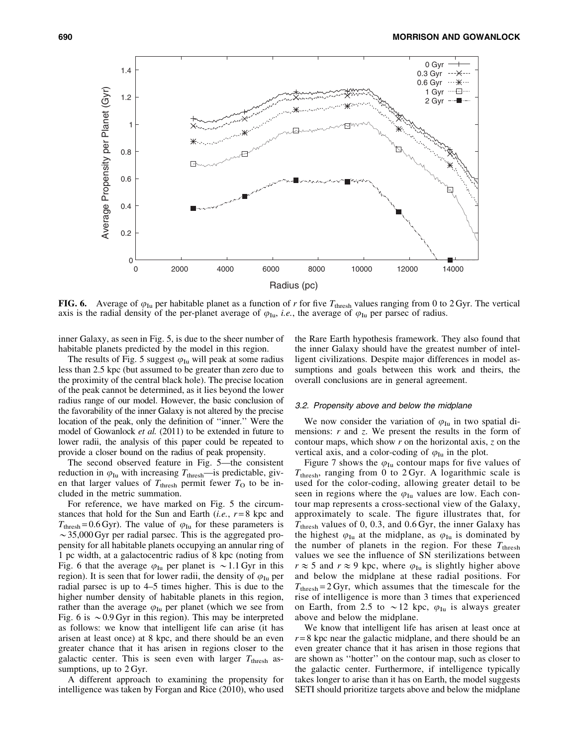

FIG. 6. Average of  $\varphi_{Iu}$  per habitable planet as a function of *r* for five  $T_{\text{thresh}}$  values ranging from 0 to 2 Gyr. The vertical axis is the radial density of the per-planet average of  $\varphi_{\text{Iu}}$ , *i.e.*, the average of  $\varphi_{\text{Iu}}$  per parsec of radius.

inner Galaxy, as seen in Fig. 5, is due to the sheer number of habitable planets predicted by the model in this region.

The results of Fig. 5 suggest  $\varphi_{Iu}$  will peak at some radius less than 2.5 kpc (but assumed to be greater than zero due to the proximity of the central black hole). The precise location of the peak cannot be determined, as it lies beyond the lower radius range of our model. However, the basic conclusion of the favorability of the inner Galaxy is not altered by the precise location of the peak, only the definition of ''inner.'' Were the model of Gowanlock *et al.* (2011) to be extended in future to lower radii, the analysis of this paper could be repeated to provide a closer bound on the radius of peak propensity.

The second observed feature in Fig. 5—the consistent reduction in  $\varphi_{Iu}$  with increasing  $T_{\text{thresh}}$ —is predictable, given that larger values of  $T_{\text{thresh}}$  permit fewer  $T_{\text{O}}$  to be included in the metric summation.

For reference, we have marked on Fig. 5 the circumstances that hold for the Sun and Earth  $(i.e., r=8$  kpc and  $T_{\text{thresh}} = 0.6 \text{ Gyr}$ . The value of  $\varphi_{\text{Iu}}$  for these parameters is  $\sim$  35,000 Gyr per radial parsec. This is the aggregated propensity for all habitable planets occupying an annular ring of 1 pc width, at a galactocentric radius of 8 kpc (noting from Fig. 6 that the average  $\varphi_{Iu}$  per planet is  $\sim 1.1$  Gyr in this region). It is seen that for lower radii, the density of  $\varphi_{\text{Iu}}$  per radial parsec is up to 4–5 times higher. This is due to the higher number density of habitable planets in this region, rather than the average  $\varphi_{Iu}$  per planet (which we see from Fig. 6 is  $\sim 0.9$  Gyr in this region). This may be interpreted as follows: we know that intelligent life can arise (it has arisen at least once) at 8 kpc, and there should be an even greater chance that it has arisen in regions closer to the galactic center. This is seen even with larger  $T_{\text{thresh}}$  assumptions, up to 2 Gyr.

A different approach to examining the propensity for intelligence was taken by Forgan and Rice (2010), who used the Rare Earth hypothesis framework. They also found that the inner Galaxy should have the greatest number of intelligent civilizations. Despite major differences in model assumptions and goals between this work and theirs, the overall conclusions are in general agreement.

#### 3.2. Propensity above and below the midplane

We now consider the variation of  $\varphi_{\text{Iu}}$  in two spatial dimensions: *r* and *z*. We present the results in the form of contour maps, which show *r* on the horizontal axis, *z* on the vertical axis, and a color-coding of  $\varphi_{Iu}$  in the plot.

Figure 7 shows the  $\varphi_{Iu}$  contour maps for five values of  $T_{\text{thresh}}$ , ranging from 0 to 2 Gyr. A logarithmic scale is used for the color-coding, allowing greater detail to be seen in regions where the  $\varphi_{Iu}$  values are low. Each contour map represents a cross-sectional view of the Galaxy, approximately to scale. The figure illustrates that, for  $T_{\text{thresh}}$  values of 0, 0.3, and 0.6 Gyr, the inner Galaxy has the highest  $\varphi_{Iu}$  at the midplane, as  $\varphi_{Iu}$  is dominated by the number of planets in the region. For these  $T_{\text{thresh}}$ values we see the influence of SN sterilizations between  $r \approx 5$  and  $r \approx 9$  kpc, where  $\varphi_{Iu}$  is slightly higher above and below the midplane at these radial positions. For  $T_{\text{thresh}} = 2 \text{ Gyr}$ , which assumes that the timescale for the rise of intelligence is more than 3 times that experienced on Earth, from 2.5 to  $\sim$  12 kpc,  $\varphi_{\text{Iu}}$  is always greater above and below the midplane.

We know that intelligent life has arisen at least once at  $r = 8$  kpc near the galactic midplane, and there should be an even greater chance that it has arisen in those regions that are shown as ''hotter'' on the contour map, such as closer to the galactic center. Furthermore, if intelligence typically takes longer to arise than it has on Earth, the model suggests SETI should prioritize targets above and below the midplane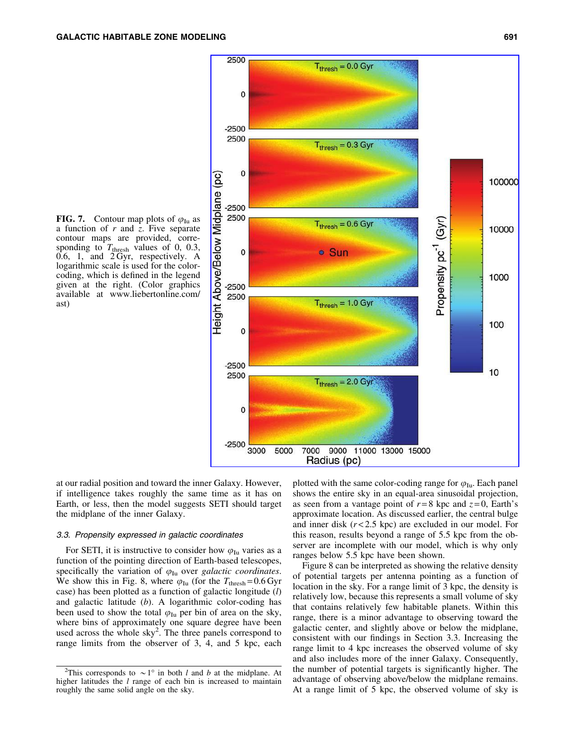



at our radial position and toward the inner Galaxy. However, if intelligence takes roughly the same time as it has on Earth, or less, then the model suggests SETI should target the midplane of the inner Galaxy.

#### 3.3. Propensity expressed in galactic coordinates

For SETI, it is instructive to consider how  $\varphi_{\text{Iu}}$  varies as a function of the pointing direction of Earth-based telescopes, specifically the variation of  $\varphi_{Iu}$  over *galactic coordinates*. We show this in Fig. 8, where  $\varphi_{Iu}$  (for the  $T_{\text{thresh}} = 0.6 \text{ Gyr}$ ) case) has been plotted as a function of galactic longitude (*l*) and galactic latitude (*b*). A logarithmic color-coding has been used to show the total  $\varphi_{Iu}$  per bin of area on the sky, where bins of approximately one square degree have been used across the whole  $\text{sky}^2$ . The three panels correspond to range limits from the observer of 3, 4, and 5 kpc, each

plotted with the same color-coding range for  $\varphi_{\text{Iu}}$ . Each panel shows the entire sky in an equal-area sinusoidal projection, as seen from a vantage point of  $r = 8$  kpc and  $z = 0$ , Earth's approximate location. As discussed earlier, the central bulge and inner disk (*r* < 2.5 kpc) are excluded in our model. For this reason, results beyond a range of 5.5 kpc from the observer are incomplete with our model, which is why only ranges below 5.5 kpc have been shown.

Figure 8 can be interpreted as showing the relative density of potential targets per antenna pointing as a function of location in the sky. For a range limit of 3 kpc, the density is relatively low, because this represents a small volume of sky that contains relatively few habitable planets. Within this range, there is a minor advantage to observing toward the galactic center, and slightly above or below the midplane, consistent with our findings in Section 3.3. Increasing the range limit to 4 kpc increases the observed volume of sky and also includes more of the inner Galaxy. Consequently, the number of potential targets is significantly higher. The advantage of observing above/below the midplane remains. At a range limit of 5 kpc, the observed volume of sky is

<sup>&</sup>lt;sup>2</sup>This corresponds to  $\sim 1^\circ$  in both *l* and *b* at the midplane. At higher latitudes the *l* range of each bin is increased to maintain roughly the same solid angle on the sky.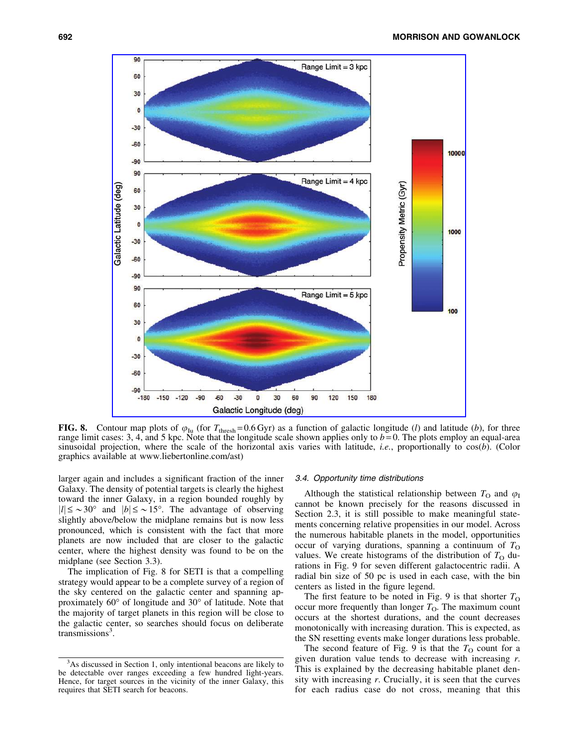

FIG. 8. Contour map plots of  $\varphi_{Iu}$  (for  $T_{\text{thresh}} = 0.6 \text{ Gyr}$ ) as a function of galactic longitude (*l*) and latitude (*b*), for three range limit cases: 3, 4, and 5 kpc. Note that the longitude scale shown applies only to *b* = 0. The plots employ an equal-area sinusoidal projection, where the scale of the horizontal axis varies with latitude, *i.e.*, proportionally to cos(*b*). (Color graphics available at www.liebertonline.com/ast)

larger again and includes a significant fraction of the inner Galaxy. The density of potential targets is clearly the highest toward the inner Galaxy, in a region bounded roughly by  $|l| \leq \sim 30^{\circ}$  and  $|b| \leq \sim 15^{\circ}$ . The advantage of observing slightly above/below the midplane remains but is now less pronounced, which is consistent with the fact that more planets are now included that are closer to the galactic center, where the highest density was found to be on the midplane (see Section 3.3).

The implication of Fig. 8 for SETI is that a compelling strategy would appear to be a complete survey of a region of the sky centered on the galactic center and spanning approximately  $60^{\circ}$  of longitude and  $30^{\circ}$  of latitude. Note that the majority of target planets in this region will be close to the galactic center, so searches should focus on deliberate  $transmissions<sup>3</sup>$ .

#### 3.4. Opportunity time distributions

Although the statistical relationship between  $T_{\rm O}$  and  $\varphi_{\rm I}$ cannot be known precisely for the reasons discussed in Section 2.3, it is still possible to make meaningful statements concerning relative propensities in our model. Across the numerous habitable planets in the model, opportunities occur of varying durations, spanning a continuum of  $T<sub>O</sub>$ values. We create histograms of the distribution of  $T<sub>O</sub>$  durations in Fig. 9 for seven different galactocentric radii. A radial bin size of 50 pc is used in each case, with the bin centers as listed in the figure legend.

The first feature to be noted in Fig. 9 is that shorter  $T<sub>O</sub>$ occur more frequently than longer  $T<sub>O</sub>$ . The maximum count occurs at the shortest durations, and the count decreases monotonically with increasing duration. This is expected, as the SN resetting events make longer durations less probable.

The second feature of Fig. 9 is that the  $T<sub>O</sub>$  count for a given duration value tends to decrease with increasing *r*. This is explained by the decreasing habitable planet density with increasing *r*. Crucially, it is seen that the curves for each radius case do not cross, meaning that this

<sup>&</sup>lt;sup>3</sup>As discussed in Section 1, only intentional beacons are likely to be detectable over ranges exceeding a few hundred light-years. Hence, for target sources in the vicinity of the inner Galaxy, this requires that SETI search for beacons.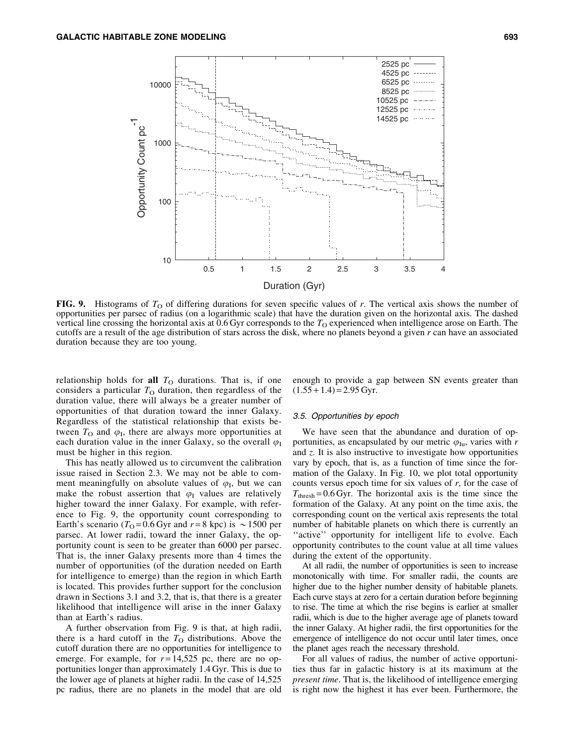

FIG. 9. Histograms of  $T<sub>O</sub>$  of differing durations for seven specific values of  $r$ . The vertical axis shows the number of opportunities per parsec of radius (on a logarithmic scale) that have the duration given on the horizontal axis. The dashed vertical line crossing the horizontal axis at 0.6 Gyr corresponds to the *T*<sub>O</sub> experienced when intelligence arose on Earth. The cutoffs are a result of the age distribution of stars across the disk, where no planets beyond a given *r* can have an associated duration because they are too young.

relationship holds for all  $T<sub>O</sub>$  durations. That is, if one considers a particular  $T<sub>O</sub>$  duration, then regardless of the duration value, there will always be a greater number of opportunities of that duration toward the inner Galaxy. Regardless of the statistical relationship that exists between  $T_{\Omega}$  and  $\varphi_I$ , there are always more opportunities at each duration value in the inner Galaxy, so the overall  $\varphi$ <sub>I</sub> must be higher in this region.

This has neatly allowed us to circumvent the calibration issue raised in Section 2.3. We may not be able to comment meaningfully on absolute values of  $\varphi_I$ , but we can make the robust assertion that  $\varphi$ <sub>I</sub> values are relatively higher toward the inner Galaxy. For example, with reference to Fig. 9, the opportunity count corresponding to Earth's scenario ( $T<sub>O</sub> = 0.6$  Gyr and  $r = 8$  kpc) is  $\sim 1500$  per parsec. At lower radii, toward the inner Galaxy, the opportunity count is seen to be greater than 6000 per parsec. That is, the inner Galaxy presents more than 4 times the number of opportunities (of the duration needed on Earth for intelligence to emerge) than the region in which Earth is located. This provides further support for the conclusion drawn in Sections 3.1 and 3.2, that is, that there is a greater likelihood that intelligence will arise in the inner Galaxy than at Earth's radius.

A further observation from Fig. 9 is that, at high radii, there is a hard cutoff in the  $T<sub>O</sub>$  distributions. Above the cutoff duration there are no opportunities for intelligence to emerge. For example, for  $r = 14,525$  pc, there are no opportunities longer than approximately 1.4 Gyr. This is due to the lower age of planets at higher radii. In the case of 14,525 pc radius, there are no planets in the model that are old enough to provide a gap between SN events greater than  $(1.55 + 1.4) = 2.95$  Gyr.

### 3.5. Opportunities by epoch

We have seen that the abundance and duration of opportunities, as encapsulated by our metric  $\varphi_{\text{Iu}}$ , varies with *r* and *z*. It is also instructive to investigate how opportunities vary by epoch, that is, as a function of time since the formation of the Galaxy. In Fig. 10, we plot total opportunity counts versus epoch time for six values of *r*, for the case of  $T_{\text{thresh}} = 0.6$  Gyr. The horizontal axis is the time since the formation of the Galaxy. At any point on the time axis, the corresponding count on the vertical axis represents the total number of habitable planets on which there is currently an "active" opportunity for intelligent life to evolve. Each opportunity contributes to the count value at all time values during the extent of the opportunity.

At all radii, the number of opportunities is seen to increase monotonically with time. For smaller radii, the counts are higher due to the higher number density of habitable planets. Each curve stays at zero for a certain duration before beginning to rise. The time at which the rise begins is earlier at smaller radii, which is due to the higher average age of planets toward the inner Galaxy. At higher radii, the first opportunities for the emergence of intelligence do not occur until later times, once the planet ages reach the necessary threshold.

For all values of radius, the number of active opportunities thus far in galactic history is at its maximum at the *present time*. That is, the likelihood of intelligence emerging is right now the highest it has ever been. Furthermore, the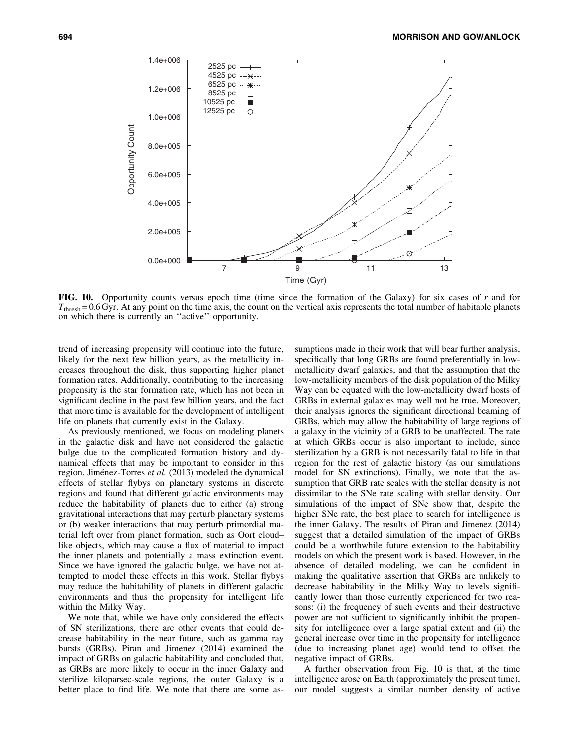

FIG. 10. Opportunity counts versus epoch time (time since the formation of the Galaxy) for six cases of *r* and for *T*<sub>thresh</sub> = 0.6 Gyr. At any point on the time axis, the count on the vertical axis represents the total number of habitable planets on which there is currently an ''active'' opportunity.

trend of increasing propensity will continue into the future, likely for the next few billion years, as the metallicity increases throughout the disk, thus supporting higher planet formation rates. Additionally, contributing to the increasing propensity is the star formation rate, which has not been in significant decline in the past few billion years, and the fact that more time is available for the development of intelligent life on planets that currently exist in the Galaxy.

As previously mentioned, we focus on modeling planets in the galactic disk and have not considered the galactic bulge due to the complicated formation history and dynamical effects that may be important to consider in this region. Jiménez-Torres *et al.* (2013) modeled the dynamical effects of stellar flybys on planetary systems in discrete regions and found that different galactic environments may reduce the habitability of planets due to either (a) strong gravitational interactions that may perturb planetary systems or (b) weaker interactions that may perturb primordial material left over from planet formation, such as Oort cloud– like objects, which may cause a flux of material to impact the inner planets and potentially a mass extinction event. Since we have ignored the galactic bulge, we have not attempted to model these effects in this work. Stellar flybys may reduce the habitability of planets in different galactic environments and thus the propensity for intelligent life within the Milky Way.

We note that, while we have only considered the effects of SN sterilizations, there are other events that could decrease habitability in the near future, such as gamma ray bursts (GRBs). Piran and Jimenez (2014) examined the impact of GRBs on galactic habitability and concluded that, as GRBs are more likely to occur in the inner Galaxy and sterilize kiloparsec-scale regions, the outer Galaxy is a better place to find life. We note that there are some assumptions made in their work that will bear further analysis, specifically that long GRBs are found preferentially in lowmetallicity dwarf galaxies, and that the assumption that the low-metallicity members of the disk population of the Milky Way can be equated with the low-metallicity dwarf hosts of GRBs in external galaxies may well not be true. Moreover, their analysis ignores the significant directional beaming of GRBs, which may allow the habitability of large regions of a galaxy in the vicinity of a GRB to be unaffected. The rate at which GRBs occur is also important to include, since sterilization by a GRB is not necessarily fatal to life in that region for the rest of galactic history (as our simulations model for SN extinctions). Finally, we note that the assumption that GRB rate scales with the stellar density is not dissimilar to the SNe rate scaling with stellar density. Our simulations of the impact of SNe show that, despite the higher SNe rate, the best place to search for intelligence is the inner Galaxy. The results of Piran and Jimenez (2014) suggest that a detailed simulation of the impact of GRBs could be a worthwhile future extension to the habitability models on which the present work is based. However, in the absence of detailed modeling, we can be confident in making the qualitative assertion that GRBs are unlikely to decrease habitability in the Milky Way to levels significantly lower than those currently experienced for two reasons: (i) the frequency of such events and their destructive power are not sufficient to significantly inhibit the propensity for intelligence over a large spatial extent and (ii) the general increase over time in the propensity for intelligence (due to increasing planet age) would tend to offset the negative impact of GRBs.

A further observation from Fig. 10 is that, at the time intelligence arose on Earth (approximately the present time), our model suggests a similar number density of active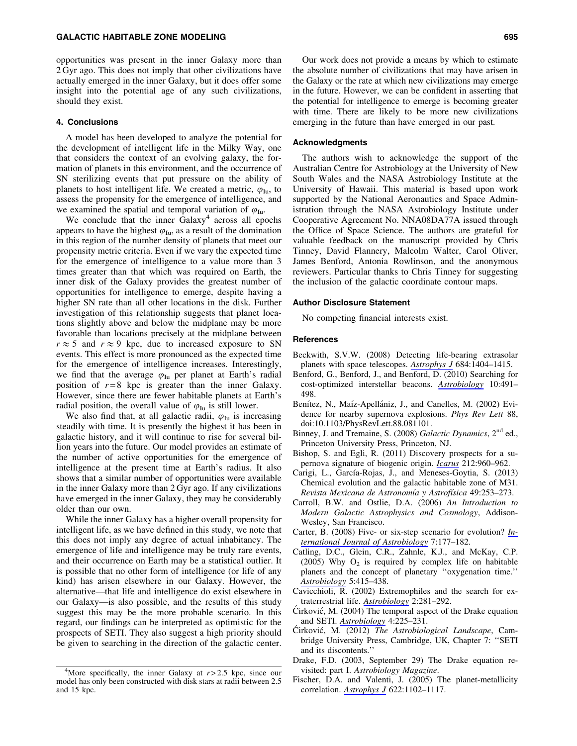### GALACTIC HABITABLE ZONE MODELING 695

opportunities was present in the inner Galaxy more than 2 Gyr ago. This does not imply that other civilizations have actually emerged in the inner Galaxy, but it does offer some insight into the potential age of any such civilizations, should they exist.

## 4. Conclusions

A model has been developed to analyze the potential for the development of intelligent life in the Milky Way, one that considers the context of an evolving galaxy, the formation of planets in this environment, and the occurrence of SN sterilizing events that put pressure on the ability of planets to host intelligent life. We created a metric,  $\varphi_{\text{Iu}}$ , to assess the propensity for the emergence of intelligence, and we examined the spatial and temporal variation of  $\varphi_{\text{Iu}}$ .

We conclude that the inner  $Galaxy<sup>4</sup>$  across all epochs appears to have the highest  $\varphi_{\text{Iu}}$ , as a result of the domination in this region of the number density of planets that meet our propensity metric criteria. Even if we vary the expected time for the emergence of intelligence to a value more than 3 times greater than that which was required on Earth, the inner disk of the Galaxy provides the greatest number of opportunities for intelligence to emerge, despite having a higher SN rate than all other locations in the disk. Further investigation of this relationship suggests that planet locations slightly above and below the midplane may be more favorable than locations precisely at the midplane between  $r \approx 5$  and  $r \approx 9$  kpc, due to increased exposure to SN events. This effect is more pronounced as the expected time for the emergence of intelligence increases. Interestingly, we find that the average  $\varphi_{Iu}$  per planet at Earth's radial position of  $r = 8$  kpc is greater than the inner Galaxy. However, since there are fewer habitable planets at Earth's radial position, the overall value of  $\varphi_{\text{Iu}}$  is still lower.

We also find that, at all galactic radii,  $\varphi$ <sub>Iu</sub> is increasing steadily with time. It is presently the highest it has been in galactic history, and it will continue to rise for several billion years into the future. Our model provides an estimate of the number of active opportunities for the emergence of intelligence at the present time at Earth's radius. It also shows that a similar number of opportunities were available in the inner Galaxy more than 2 Gyr ago. If any civilizations have emerged in the inner Galaxy, they may be considerably older than our own.

While the inner Galaxy has a higher overall propensity for intelligent life, as we have defined in this study, we note that this does not imply any degree of actual inhabitancy. The emergence of life and intelligence may be truly rare events, and their occurrence on Earth may be a statistical outlier. It is possible that no other form of intelligence (or life of any kind) has arisen elsewhere in our Galaxy. However, the alternative—that life and intelligence do exist elsewhere in our Galaxy—is also possible, and the results of this study suggest this may be the more probable scenario. In this regard, our findings can be interpreted as optimistic for the prospects of SETI. They also suggest a high priority should be given to searching in the direction of the galactic center.

Our work does not provide a means by which to estimate the absolute number of civilizations that may have arisen in the Galaxy or the rate at which new civilizations may emerge in the future. However, we can be confident in asserting that the potential for intelligence to emerge is becoming greater with time. There are likely to be more new civilizations emerging in the future than have emerged in our past.

#### Acknowledgments

The authors wish to acknowledge the support of the Australian Centre for Astrobiology at the University of New South Wales and the NASA Astrobiology Institute at the University of Hawaii. This material is based upon work supported by the National Aeronautics and Space Administration through the NASA Astrobiology Institute under Cooperative Agreement No. NNA08DA77A issued through the Office of Space Science. The authors are grateful for valuable feedback on the manuscript provided by Chris Tinney, David Flannery, Malcolm Walter, Carol Oliver, James Benford, Antonia Rowlinson, and the anonymous reviewers. Particular thanks to Chris Tinney for suggesting the inclusion of the galactic coordinate contour maps.

#### Author Disclosure Statement

No competing financial interests exist.

### **References**

- Beckwith, S.V.W. (2008) Detecting life-bearing extrasolar planets with space telescopes. *[Astrophys J](http://online.liebertpub.com/action/showLinks?crossref=10.1086%2F590466)* 684:1404–1415.
- Benford, G., Benford, J., and Benford, D. (2010) Searching for cost-optimized interstellar beacons. *[Astrobiology](http://online.liebertpub.com/action/showLinks?system=10.1089%2Fast.2009.0394&pmid=20624057)* 10:491– 498.
- Benítez, N., Maíz-Apellániz, J., and Canelles, M. (2002) Evidence for nearby supernova explosions. *Phys Rev Lett* 88, doi:10.1103/PhysRevLett.88.081101.
- Binney, J. and Tremaine, S. (2008) *Galactic Dynamics*, 2nd ed., Princeton University Press, Princeton, NJ.
- Bishop, S. and Egli, R. (2011) Discovery prospects for a supernova signature of biogenic origin. *[Icarus](http://online.liebertpub.com/action/showLinks?crossref=10.1016%2Fj.icarus.2011.02.003)* 212:960–962.
- Carigi, L., García-Rojas, J., and Meneses-Goytia, S. (2013) Chemical evolution and the galactic habitable zone of M31. *Revista Mexicana de Astronomı´a y Astrofı´sica* 49:253–273.
- Carroll, B.W. and Ostlie, D.A. (2006) *An Introduction to Modern Galactic Astrophysics and Cosmology*, Addison-Wesley, San Francisco.
- Carter, B. (2008) Five- or six-step scenario for evolution? *[In](http://online.liebertpub.com/action/showLinks?crossref=10.1017%2FS1473550408004023)[ternational Journal of Astrobiology](http://online.liebertpub.com/action/showLinks?crossref=10.1017%2FS1473550408004023)* 7:177–182.
- Catling, D.C., Glein, C.R., Zahnle, K.J., and McKay, C.P. (2005) Why  $O<sub>2</sub>$  is required by complex life on habitable planets and the concept of planetary ''oxygenation time.'' *[Astrobiology](http://online.liebertpub.com/action/showLinks?system=10.1089%2Fast.2005.5.415&pmid=15941384)* 5:415–438.
- Cavicchioli, R. (2002) Extremophiles and the search for extraterrestrial life. *[Astrobiology](http://online.liebertpub.com/action/showLinks?system=10.1089%2F153110702762027862&pmid=12530238)* 2:281–292.
- Cirković, M. (2004) The temporal aspect of the Drake equation and SETI. *[Astrobiology](http://online.liebertpub.com/action/showLinks?system=10.1089%2F153110704323175160&pmid=15253840)* 4:225–231.
- C´ irkovic´, M. (2012) *The Astrobiological Landscape*, Cambridge University Press, Cambridge, UK, Chapter 7: ''SETI and its discontents.''
- Drake, F.D. (2003, September 29) The Drake equation revisited: part I. *Astrobiology Magazine*.
- Fischer, D.A. and Valenti, J. (2005) The planet-metallicity correlation. *[Astrophys J](http://online.liebertpub.com/action/showLinks?crossref=10.1086%2F428383)* 622:1102–1117.

<sup>&</sup>lt;sup>4</sup>More specifically, the inner Galaxy at  $r > 2.5$  kpc, since our model has only been constructed with disk stars at radii between 2.5 and 15 kpc.